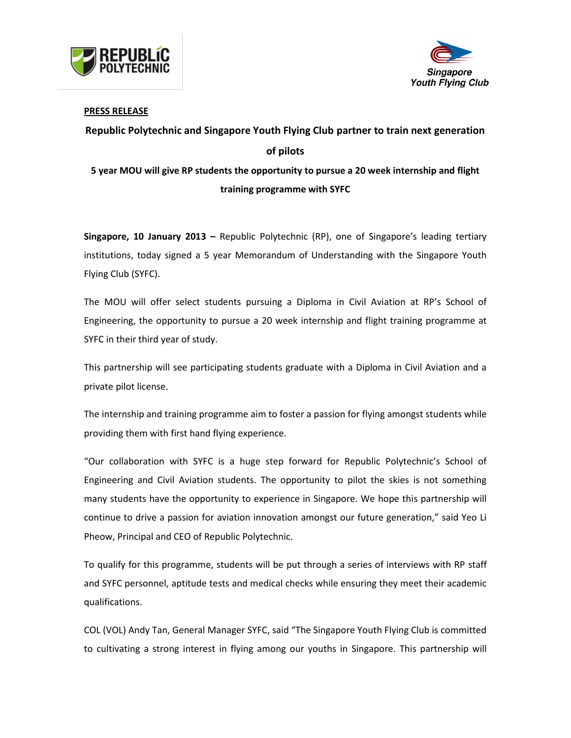



### **PRESS RELEASE**

# **Republic Polytechnic and Singapore Youth Flying Club partner to train next generation of pilots 5 year MOU will give RP students the opportunity to pursue a 20 week internship and flight**

## **training programme with SYFC**

**Singapore, 10 January 2013 –** Republic Polytechnic (RP), one of Singapore's leading tertiary institutions, today signed a 5 year Memorandum of Understanding with the Singapore Youth Flying Club (SYFC).

The MOU will offer select students pursuing a Diploma in Civil Aviation at RP's School of Engineering, the opportunity to pursue a 20 week internship and flight training programme at SYFC in their third year of study.

This partnership will see participating students graduate with a Diploma in Civil Aviation and a private pilot license.

The internship and training programme aim to foster a passion for flying amongst students while providing them with first hand flying experience.

"Our collaboration with SYFC is a huge step forward for Republic Polytechnic's School of Engineering and Civil Aviation students. The opportunity to pilot the skies is not something many students have the opportunity to experience in Singapore. We hope this partnership will continue to drive a passion for aviation innovation amongst our future generation," said Yeo Li Pheow, Principal and CEO of Republic Polytechnic.

To qualify for this programme, students will be put through a series of interviews with RP staff and SYFC personnel, aptitude tests and medical checks while ensuring they meet their academic qualifications.

COL (VOL) Andy Tan, General Manager SYFC, said "The Singapore Youth Flying Club is committed to cultivating a strong interest in flying among our youths in Singapore. This partnership will